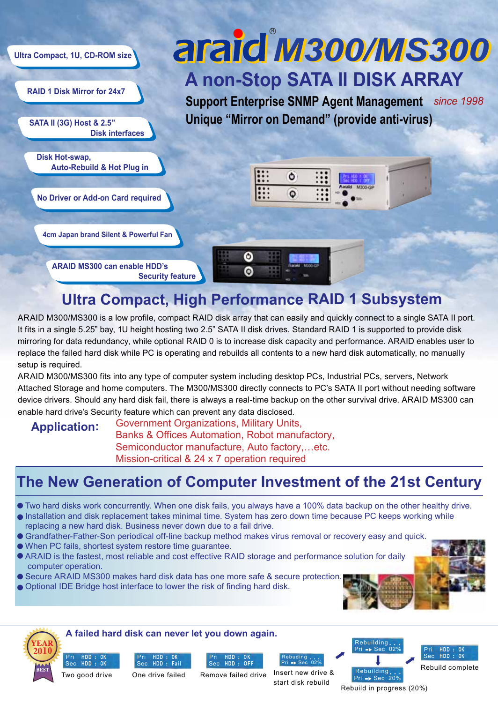

# **Ultra Compact, High Performance RAID 1 Subsystem**

ARAID M300/MS300 is a low profile, compact RAID disk array that can easily and quickly connect to a single SATA II port. It fits in a single 5.25" bay, 1U height hosting two 2.5" SATA II disk drives. Standard RAID 1 is supported to provide disk mirroring for data redundancy, while optional RAID 0 is to increase disk capacity and performance. ARAID enables user to replace the failed hard disk while PC is operating and rebuilds all contents to a new hard disk automatically, no manually setup is required.

ARAID M300/MS300 fits into any type of computer system including desktop PCs, Industrial PCs, servers, Network Attached Storage and home computers. The M300/MS300 directly connects to PC's SATA II port without needing software device drivers. Should any hard disk fail, there is always a real-time backup on the other survival drive. ARAID MS300 can enable hard drive's Security feature which can prevent any data disclosed.

### **Application:**

#### Government Organizations, Military Units, Banks & Offices Automation, Robot manufactory, Semiconductor manufacture, Auto factory,…etc. Mission-critical & 24 x 7 operation required

# **The New Generation of Computer Investment of the 21st Century**

- Two hard disks work concurrently. When one disk fails, you always have a 100% data backup on the other healthy drive.
- Installation and disk replacement takes minimal time. System has zero down time because PC keeps working while replacing a new hard disk. Business never down due to a fail drive.
- Grandfather-Father-Son periodical off-line backup method makes virus removal or recovery easy and quick.
- When PC fails, shortest system restore time guarantee.
- ARAID is the fastest, most reliable and cost effective RAID storage and performance solution for daily computer operation.
- **Secure ARAID MS300 makes hard disk data has one more safe & secure protection.**
- Optional IDE Bridge host interface to lower the risk of finding hard disk.

Sec





Pri Sec

**HDD OK HDD OK**







Pri Sec 02% Remove failed drive Insert new drive &

Rebuding

Rebuilding Pri ■ Sec 20% start disk rebuild

Pri ➡ Sec 02% Rebuild complete Pri Sec **HDD OK**

Rebuild in progress (20%)

Rebuilding